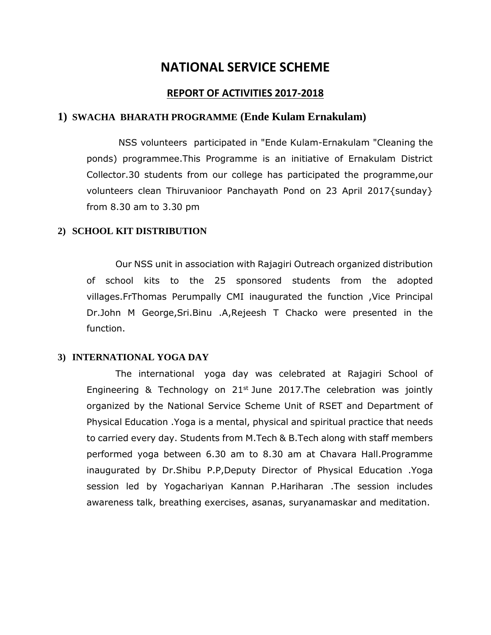# **NATIONAL SERVICE SCHEME**

## **REPORT OF ACTIVITIES 2017-2018**

## **1) SWACHA BHARATH PROGRAMME (Ende Kulam Ernakulam)**

NSS volunteers participated in "Ende Kulam-Ernakulam "Cleaning the ponds) programmee.This Programme is an initiative of Ernakulam District Collector.30 students from our college has participated the programme,our volunteers clean Thiruvanioor Panchayath Pond on 23 April 2017{sunday} from 8.30 am to 3.30 pm

#### **2) SCHOOL KIT DISTRIBUTION**

Our NSS unit in association with Rajagiri Outreach organized distribution of school kits to the 25 sponsored students from the adopted villages.FrThomas Perumpally CMI inaugurated the function ,Vice Principal Dr.John M George,Sri.Binu .A,Rejeesh T Chacko were presented in the function.

#### **3) INTERNATIONAL YOGA DAY**

The international yoga day was celebrated at Rajagiri School of Engineering  $\&$  Technology on 21<sup>st</sup> June 2017. The celebration was jointly organized by the National Service Scheme Unit of RSET and Department of Physical Education .Yoga is a mental, physical and spiritual practice that needs to carried every day. Students from M.Tech & B.Tech along with staff members performed yoga between 6.30 am to 8.30 am at Chavara Hall.Programme inaugurated by Dr.Shibu P.P,Deputy Director of Physical Education .Yoga session led by Yogachariyan Kannan P.Hariharan .The session includes awareness talk, breathing exercises, asanas, suryanamaskar and meditation.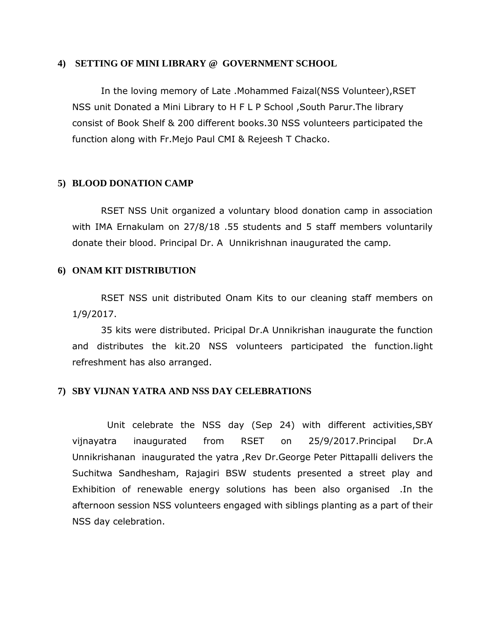#### **4) SETTING OF MINI LIBRARY @ GOVERNMENT SCHOOL**

In the loving memory of Late .Mohammed Faizal(NSS Volunteer),RSET NSS unit Donated a Mini Library to H F L P School ,South Parur.The library consist of Book Shelf & 200 different books.30 NSS volunteers participated the function along with Fr.Mejo Paul CMI & Rejeesh T Chacko.

### **5) BLOOD DONATION CAMP**

RSET NSS Unit organized a voluntary blood donation camp in association with IMA Ernakulam on 27/8/18 .55 students and 5 staff members voluntarily donate their blood. Principal Dr. A Unnikrishnan inaugurated the camp.

## **6) ONAM KIT DISTRIBUTION**

RSET NSS unit distributed Onam Kits to our cleaning staff members on 1/9/2017.

35 kits were distributed. Pricipal Dr.A Unnikrishan inaugurate the function and distributes the kit.20 NSS volunteers participated the function.light refreshment has also arranged.

#### **7) SBY VIJNAN YATRA AND NSS DAY CELEBRATIONS**

 Unit celebrate the NSS day (Sep 24) with different activities,SBY vijnayatra inaugurated from RSET on 25/9/2017.Principal Dr.A Unnikrishanan inaugurated the yatra ,Rev Dr.George Peter Pittapalli delivers the Suchitwa Sandhesham, Rajagiri BSW students presented a street play and Exhibition of renewable energy solutions has been also organised .In the afternoon session NSS volunteers engaged with siblings planting as a part of their NSS day celebration.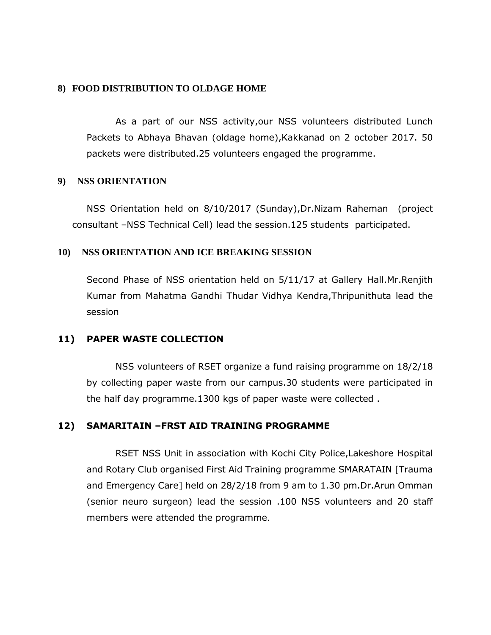## **8) FOOD DISTRIBUTION TO OLDAGE HOME**

As a part of our NSS activity,our NSS volunteers distributed Lunch Packets to Abhaya Bhavan (oldage home),Kakkanad on 2 october 2017. 50 packets were distributed.25 volunteers engaged the programme.

## **9) NSS ORIENTATION**

NSS Orientation held on 8/10/2017 (Sunday),Dr.Nizam Raheman (project consultant –NSS Technical Cell) lead the session.125 students participated.

## **10) NSS ORIENTATION AND ICE BREAKING SESSION**

Second Phase of NSS orientation held on 5/11/17 at Gallery Hall.Mr.Renjith Kumar from Mahatma Gandhi Thudar Vidhya Kendra,Thripunithuta lead the session

## **11) PAPER WASTE COLLECTION**

NSS volunteers of RSET organize a fund raising programme on 18/2/18 by collecting paper waste from our campus.30 students were participated in the half day programme.1300 kgs of paper waste were collected .

## **12) SAMARITAIN –FRST AID TRAINING PROGRAMME**

RSET NSS Unit in association with Kochi City Police,Lakeshore Hospital and Rotary Club organised First Aid Training programme SMARATAIN [Trauma and Emergency Care] held on 28/2/18 from 9 am to 1.30 pm.Dr.Arun Omman (senior neuro surgeon) lead the session .100 NSS volunteers and 20 staff members were attended the programme.